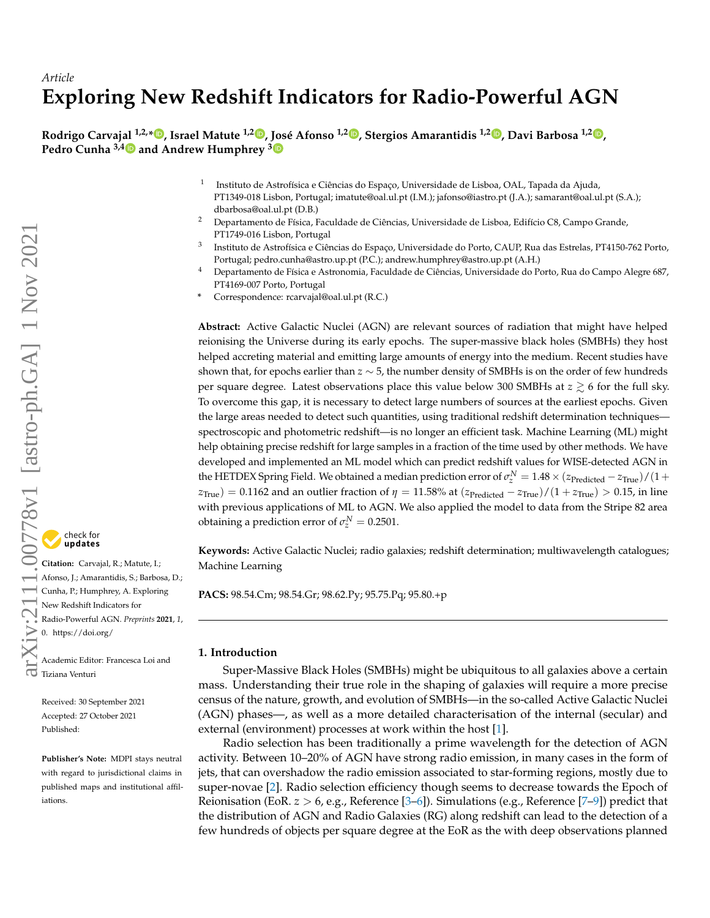# *Article* **Exploring New Redshift Indicators for Radio-Powerful AGN**

Rodrigo Carvaj[al](https://orcid.org/0000-0002-9454-859X) <sup>1[,](https://orcid.org/0000-0001-7948-5714)2,</sup>\*®, Israel Matute <sup>1,2</sup>®, [Jos](https://orcid.org/0000-0002-0510-2351)é Afonso <sup>1,[2](https://orcid.org/0000-0003-2810-1375)</sup>®, Stergios Amarantidis <sup>1,2</sup>®, Davi Barbosa <sup>1,2</sup>®, **Pedro Cunha 3,4 and Andrew Humphrey <sup>3</sup>**

- 1 Instituto de Astrofísica e Ciências do Espaço, Universidade de Lisboa, OAL, Tapada da Ajuda, PT1349-018 Lisbon, Portugal; imatute@oal.ul.pt (I.M.); jafonso@iastro.pt (J.A.); samarant@oal.ul.pt (S.A.); dbarbosa@oal.ul.pt (D.B.)
- <sup>2</sup> Departamento de Física, Faculdade de Ciências, Universidade de Lisboa, Edifício C8, Campo Grande, PT1749-016 Lisbon, Portugal
- 3 Instituto de Astrofísica e Ciências do Espaço, Universidade do Porto, CAUP, Rua das Estrelas, PT4150-762 Porto, Portugal; pedro.cunha@astro.up.pt (P.C.); andrew.humphrey@astro.up.pt (A.H.)
- <sup>4</sup> Departamento de Física e Astronomia, Faculdade de Ciências, Universidade do Porto, Rua do Campo Alegre 687, PT4169-007 Porto, Portugal
- **\*** Correspondence: rcarvajal@oal.ul.pt (R.C.)

**Abstract:** Active Galactic Nuclei (AGN) are relevant sources of radiation that might have helped reionising the Universe during its early epochs. The super-massive black holes (SMBHs) they host helped accreting material and emitting large amounts of energy into the medium. Recent studies have shown that, for epochs earlier than *z* ∼ 5, the number density of SMBHs is on the order of few hundreds per square degree. Latest observations place this value below 300 SMBHs at  $z \gtrsim 6$  for the full sky. To overcome this gap, it is necessary to detect large numbers of sources at the earliest epochs. Given the large areas needed to detect such quantities, using traditional redshift determination techniques spectroscopic and photometric redshift—is no longer an efficient task. Machine Learning (ML) might help obtaining precise redshift for large samples in a fraction of the time used by other methods. We have developed and implemented an ML model which can predict redshift values for WISE-detected AGN in the HETDEX Spring Field. We obtained a median prediction error of  $\sigma_z^N = 1.48 \times (z_{\rm Predicted} - z_{\rm True}) / (1 +$  $z_{True}$ ) = 0.1162 and an outlier fraction of  $\eta = 11.58\%$  at  $(z_{Predicted} - z_{True})/(1 + z_{True}) > 0.15$ , in line with previous applications of ML to AGN. We also applied the model to data from the Stripe 82 area obtaining a prediction error of  $\sigma_z^N = 0.2501$ .

**Keywords:** Active Galactic Nuclei; radio galaxies; redshift determination; multiwavelength catalogues; Machine Learning

**PACS:** 98.54.Cm; 98.54.Gr; 98.62.Py; 95.75.Pq; 95.80.+p

#### <span id="page-0-0"></span>**1. Introduction**

Super-Massive Black Holes (SMBHs) might be ubiquitous to all galaxies above a certain mass. Understanding their true role in the shaping of galaxies will require a more precise census of the nature, growth, and evolution of SMBHs—in the so-called Active Galactic Nuclei (AGN) phases—, as well as a more detailed characterisation of the internal (secular) and external (environment) processes at work within the host [\[1\]](#page-13-0).

Radio selection has been traditionally a prime wavelength for the detection of AGN activity. Between 10–20% of AGN have strong radio emission, in many cases in the form of jets, that can overshadow the radio emission associated to star-forming regions, mostly due to super-novae [\[2\]](#page-13-1). Radio selection efficiency though seems to decrease towards the Epoch of Reionisation (EoR. *z* > 6, e.g., Reference [\[3–](#page-13-2)[6\]](#page-13-3)). Simulations (e.g., Reference [\[7–](#page-13-4)[9\]](#page-13-5)) predict that the distribution of AGN and Radio Galaxies (RG) along redshift can lead to the detection of a few hundreds of objects per square degree at the EoR as the with deep observations planned



**Citation:** Carvajal, R.; Matute, I.; Afonso, J.; Amarantidis, S.; Barbosa, D.; Cunha, P.; Humphrey, A. Exploring New Redshift Indicators for Radio-Powerful AGN. *Preprints* **2021**, *1*, 0. [https://doi.org/](https://doi.org/10.3390/1010000)

Academic Editor: Francesca Loi and Academic Bunder<br>Tiziana Venturi

> Received: 30 September 2021 Accepted: 27 October 2021 Published:

**Publisher's Note:** MDPI stays neutral with regard to jurisdictional claims in published maps and institutional affiliations.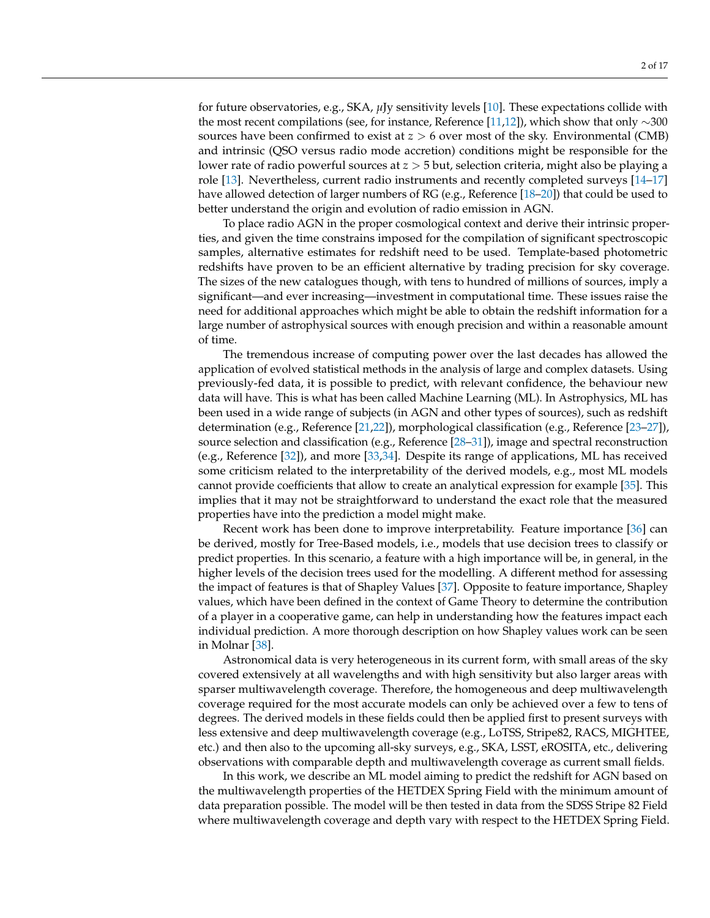for future observatories, e.g., SKA, *µ*Jy sensitivity levels [\[10\]](#page-13-6). These expectations collide with the most recent compilations (see, for instance, Reference [\[11](#page-13-7)[,12\]](#page-13-8)), which show that only ∼300 sources have been confirmed to exist at *z* > 6 over most of the sky. Environmental (CMB) and intrinsic (QSO versus radio mode accretion) conditions might be responsible for the lower rate of radio powerful sources at *z* > 5 but, selection criteria, might also be playing a role [\[13\]](#page-13-9). Nevertheless, current radio instruments and recently completed surveys [\[14–](#page-13-10)[17\]](#page-14-0) have allowed detection of larger numbers of RG (e.g., Reference [\[18–](#page-14-1)[20\]](#page-14-2)) that could be used to better understand the origin and evolution of radio emission in AGN.

To place radio AGN in the proper cosmological context and derive their intrinsic properties, and given the time constrains imposed for the compilation of significant spectroscopic samples, alternative estimates for redshift need to be used. Template-based photometric redshifts have proven to be an efficient alternative by trading precision for sky coverage. The sizes of the new catalogues though, with tens to hundred of millions of sources, imply a significant—and ever increasing—investment in computational time. These issues raise the need for additional approaches which might be able to obtain the redshift information for a large number of astrophysical sources with enough precision and within a reasonable amount of time.

The tremendous increase of computing power over the last decades has allowed the application of evolved statistical methods in the analysis of large and complex datasets. Using previously-fed data, it is possible to predict, with relevant confidence, the behaviour new data will have. This is what has been called Machine Learning (ML). In Astrophysics, ML has been used in a wide range of subjects (in AGN and other types of sources), such as redshift determination (e.g., Reference [\[21](#page-14-3)[,22\]](#page-14-4)), morphological classification (e.g., Reference [\[23](#page-14-5)[–27\]](#page-14-6)), source selection and classification (e.g., Reference [\[28–](#page-14-7)[31\]](#page-14-8)), image and spectral reconstruction (e.g., Reference [\[32\]](#page-14-9)), and more [\[33](#page-14-10)[,34\]](#page-14-11). Despite its range of applications, ML has received some criticism related to the interpretability of the derived models, e.g., most ML models cannot provide coefficients that allow to create an analytical expression for example [\[35\]](#page-14-12). This implies that it may not be straightforward to understand the exact role that the measured properties have into the prediction a model might make.

Recent work has been done to improve interpretability. Feature importance [\[36\]](#page-14-13) can be derived, mostly for Tree-Based models, i.e., models that use decision trees to classify or predict properties. In this scenario, a feature with a high importance will be, in general, in the higher levels of the decision trees used for the modelling. A different method for assessing the impact of features is that of Shapley Values [\[37\]](#page-14-14). Opposite to feature importance, Shapley values, which have been defined in the context of Game Theory to determine the contribution of a player in a cooperative game, can help in understanding how the features impact each individual prediction. A more thorough description on how Shapley values work can be seen in Molnar [\[38\]](#page-15-0).

Astronomical data is very heterogeneous in its current form, with small areas of the sky covered extensively at all wavelengths and with high sensitivity but also larger areas with sparser multiwavelength coverage. Therefore, the homogeneous and deep multiwavelength coverage required for the most accurate models can only be achieved over a few to tens of degrees. The derived models in these fields could then be applied first to present surveys with less extensive and deep multiwavelength coverage (e.g., LoTSS, Stripe82, RACS, MIGHTEE, etc.) and then also to the upcoming all-sky surveys, e.g., SKA, LSST, eROSITA, etc., delivering observations with comparable depth and multiwavelength coverage as current small fields.

In this work, we describe an ML model aiming to predict the redshift for AGN based on the multiwavelength properties of the HETDEX Spring Field with the minimum amount of data preparation possible. The model will be then tested in data from the SDSS Stripe 82 Field where multiwavelength coverage and depth vary with respect to the HETDEX Spring Field.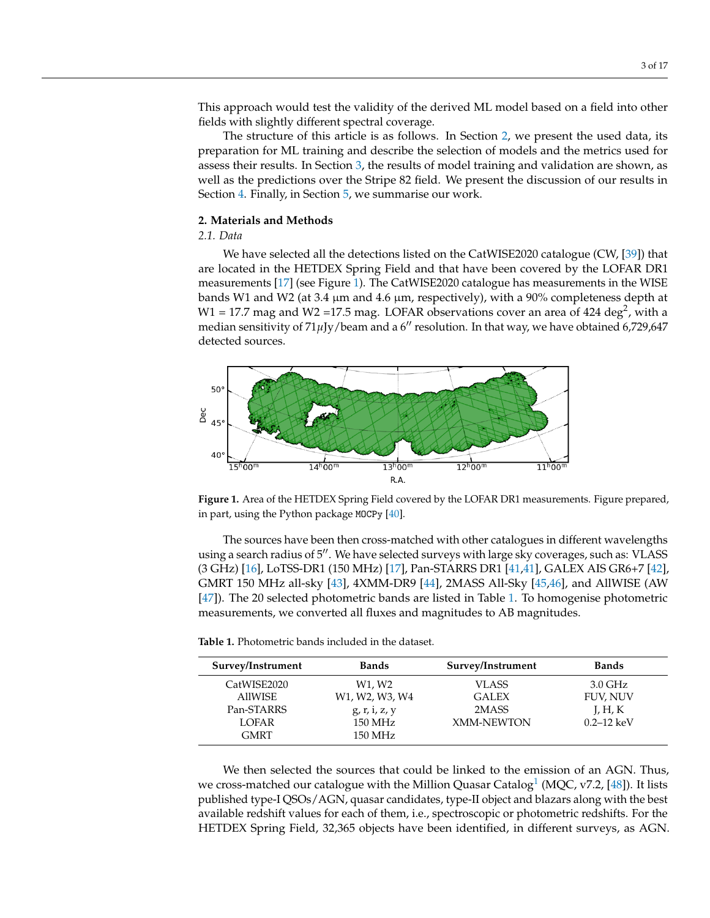This approach would test the validity of the derived ML model based on a field into other fields with slightly different spectral coverage.

The structure of this article is as follows. In Section [2,](#page-2-0) we present the used data, its preparation for ML training and describe the selection of models and the metrics used for assess their results. In Section [3,](#page-6-0) the results of model training and validation are shown, as well as the predictions over the Stripe 82 field. We present the discussion of our results in Section [4.](#page-7-0) Finally, in Section [5,](#page-10-0) we summarise our work.

#### <span id="page-2-0"></span>**2. Materials and Methods**

# <span id="page-2-3"></span>*2.1. Data*

We have selected all the detections listed on the CatWISE2020 catalogue (CW, [\[39\]](#page-15-1)) that are located in the HETDEX Spring Field and that have been covered by the LOFAR DR1 measurements [\[17\]](#page-14-0) (see Figure [1\)](#page-2-1). The CatWISE2020 catalogue has measurements in the WISE bands W1 and W2 (at 3.4  $\mu$ m and 4.6  $\mu$ m, respectively), with a 90% completeness depth at W1 = 17.7 mag and W2 =17.5 mag. LOFAR observations cover an area of 424 deg<sup>2</sup>, with a median sensitivity of 71µJy/beam and a 6" resolution. In that way, we have obtained 6,729,647 detected sources.

<span id="page-2-1"></span>

**Figure 1.** Area of the HETDEX Spring Field covered by the LOFAR DR1 measurements. Figure prepared, in part, using the Python package MOCPy [\[40\]](#page-15-2).

The sources have been then cross-matched with other catalogues in different wavelengths using a search radius of 5". We have selected surveys with large sky coverages, such as: VLASS (3 GHz) [\[16\]](#page-14-15), LoTSS-DR1 (150 MHz) [\[17\]](#page-14-0), Pan-STARRS DR1 [\[41,41\]](#page-15-3), GALEX AIS GR6+7 [\[42\]](#page-15-4), GMRT 150 MHz all-sky [\[43\]](#page-15-5), 4XMM-DR9 [\[44\]](#page-15-6), 2MASS All-Sky [\[45,](#page-15-7)[46\]](#page-15-8), and AllWISE (AW [\[47\]](#page-15-9)). The 20 selected photometric bands are listed in Table [1.](#page-2-2) To homogenise photometric measurements, we converted all fluxes and magnitudes to AB magnitudes.

<span id="page-2-2"></span>

| <b>Table 1.</b> Photometric bands included in the dataset. |
|------------------------------------------------------------|
|------------------------------------------------------------|

| Survey/Instrument | <b>Bands</b>                                                      | Survey/Instrument | <b>Bands</b>      |
|-------------------|-------------------------------------------------------------------|-------------------|-------------------|
| CatWISE2020       | W1, W2                                                            | VLASS.            | $3.0 \text{ GHz}$ |
| <b>AllWISE</b>    | W <sub>1</sub> , W <sub>2</sub> , W <sub>3</sub> , W <sub>4</sub> | <b>GALEX</b>      | <b>FUV, NUV</b>   |
| Pan-STARRS        | g, r, i, z, y                                                     | 2MASS             | $L$ , H, K        |
| <b>LOFAR</b>      | 150 MHz                                                           | <b>XMM-NEWTON</b> | $0.2 - 12 keV$    |
| <b>GMRT</b>       | 150 MHz                                                           |                   |                   |

<span id="page-2-4"></span>We then selected the sources that could be linked to the emission of an AGN. Thus, we cross-matched our catalogue with the Million Quasar Catalog $^1$  $^1$  (MQC, v7.2, [\[48\]](#page-15-10)). It lists published type-I QSOs/AGN, quasar candidates, type-II object and blazars along with the best available redshift values for each of them, i.e., spectroscopic or photometric redshifts. For the HETDEX Spring Field, 32,365 objects have been identified, in different surveys, as AGN.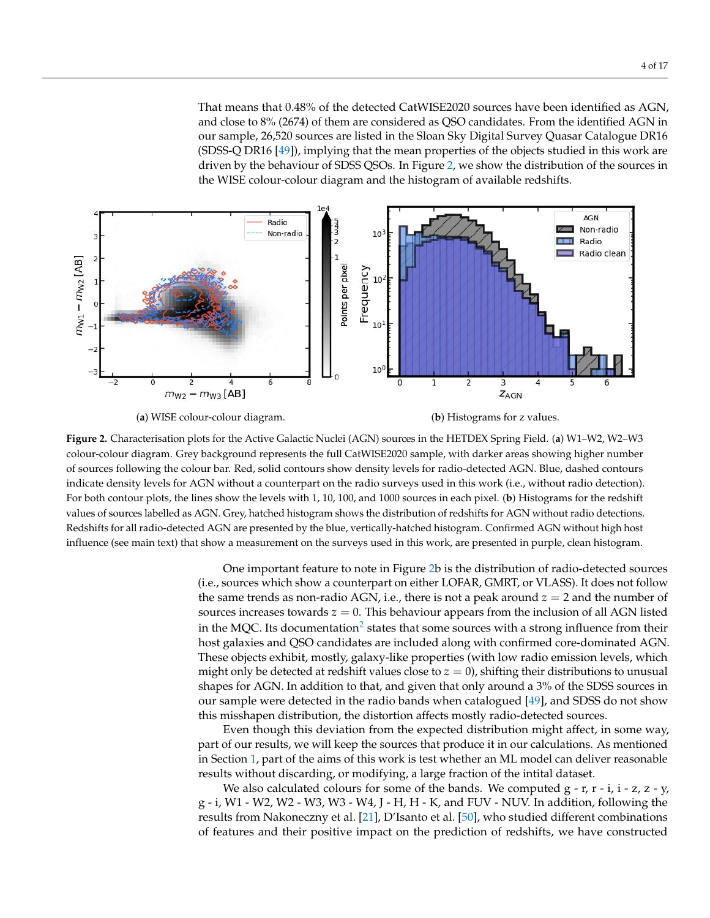That means that 0.48% of the detected CatWISE2020 sources have been identified as AGN, and close to 8% (2674) of them are considered as QSO candidates. From the identified AGN in our sample, 26,520 sources are listed in the Sloan Sky Digital Survey Quasar Catalogue DR16 (SDSS-Q DR16 [\[49\]](#page-15-11)), implying that the mean properties of the objects studied in this work are driven by the behaviour of SDSS QSOs. In Figure [2,](#page-3-0) we show the distribution of the sources in the WISE colour-colour diagram and the histogram of available redshifts.

<span id="page-3-0"></span>

(**a**) WISE colour-colour diagram. (**b**) Histograms for z values.

**Figure 2.** Characterisation plots for the Active Galactic Nuclei (AGN) sources in the HETDEX Spring Field. (**a**) W1–W2, W2–W3 colour-colour diagram. Grey background represents the full CatWISE2020 sample, with darker areas showing higher number of sources following the colour bar. Red, solid contours show density levels for radio-detected AGN. Blue, dashed contours indicate density levels for AGN without a counterpart on the radio surveys used in this work (i.e., without radio detection). For both contour plots, the lines show the levels with 1, 10, 100, and 1000 sources in each pixel. (**b**) Histograms for the redshift values of sources labelled as AGN. Grey, hatched histogram shows the distribution of redshifts for AGN without radio detections. Redshifts for all radio-detected AGN are presented by the blue, vertically-hatched histogram. Confirmed AGN without high host influence (see main text) that show a measurement on the surveys used in this work, are presented in purple, clean histogram.

> <span id="page-3-1"></span>One important feature to note in Figure [2b](#page-3-0) is the distribution of radio-detected sources (i.e., sources which show a counterpart on either LOFAR, GMRT, or VLASS). It does not follow the same trends as non-radio AGN, i.e., there is not a peak around *z* = 2 and the number of sources increases towards  $z = 0$ . This behaviour appears from the inclusion of all AGN listed in the MQC. Its documentation $^2$  $^2$  states that some sources with a strong influence from their host galaxies and QSO candidates are included along with confirmed core-dominated AGN. These objects exhibit, mostly, galaxy-like properties (with low radio emission levels, which might only be detected at redshift values close to  $z = 0$ ), shifting their distributions to unusual shapes for AGN. In addition to that, and given that only around a 3% of the SDSS sources in our sample were detected in the radio bands when catalogued [\[49\]](#page-15-11), and SDSS do not show this misshapen distribution, the distortion affects mostly radio-detected sources.

> Even though this deviation from the expected distribution might affect, in some way, part of our results, we will keep the sources that produce it in our calculations. As mentioned in Section [1,](#page-0-0) part of the aims of this work is test whether an ML model can deliver reasonable results without discarding, or modifying, a large fraction of the intital dataset.

> We also calculated colours for some of the bands. We computed  $g - r$ ,  $r - i$ ,  $i - z$ ,  $z - y$ , g - i, W1 - W2, W2 - W3, W3 - W4, J - H, H - K, and FUV - NUV. In addition, following the results from Nakoneczny et al. [\[21\]](#page-14-3), D'Isanto et al. [\[50\]](#page-15-12), who studied different combinations of features and their positive impact on the prediction of redshifts, we have constructed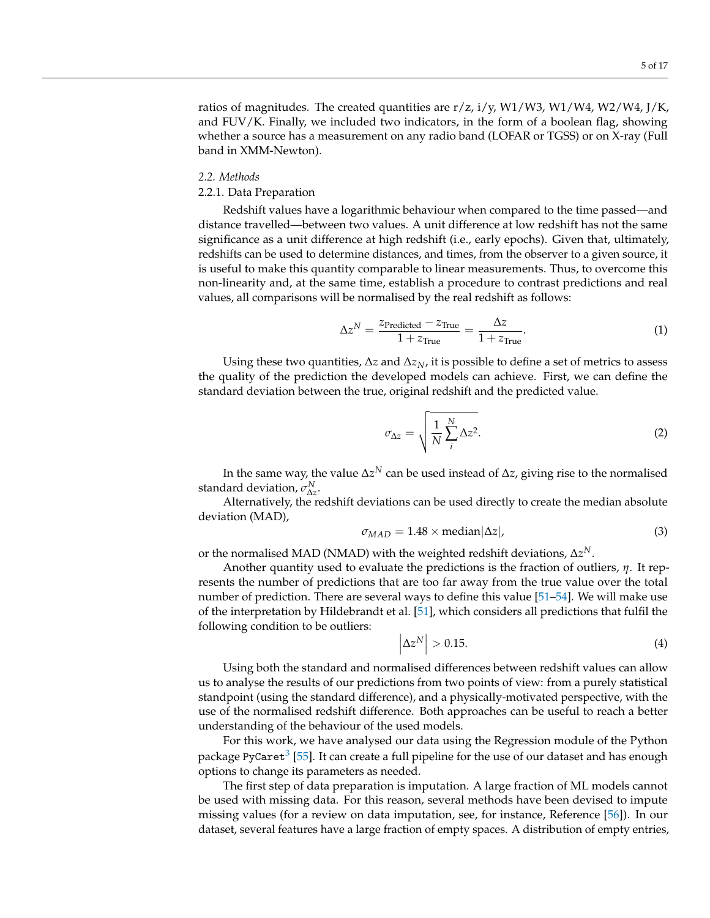ratios of magnitudes. The created quantities are r/z, i/y, W1/W3, W1/W4, W2/W4, J/K, and FUV/K. Finally, we included two indicators, in the form of a boolean flag, showing whether a source has a measurement on any radio band (LOFAR or TGSS) or on X-ray (Full band in XMM-Newton).

#### *2.2. Methods*

## <span id="page-4-0"></span>2.2.1. Data Preparation

Redshift values have a logarithmic behaviour when compared to the time passed—and distance travelled—between two values. A unit difference at low redshift has not the same significance as a unit difference at high redshift (i.e., early epochs). Given that, ultimately, redshifts can be used to determine distances, and times, from the observer to a given source, it is useful to make this quantity comparable to linear measurements. Thus, to overcome this non-linearity and, at the same time, establish a procedure to contrast predictions and real values, all comparisons will be normalised by the real redshift as follows:

$$
\Delta z^N = \frac{z_{\text{Predicted}} - z_{\text{True}}}{1 + z_{\text{True}}} = \frac{\Delta z}{1 + z_{\text{True}}}.
$$
\n(1)

Using these two quantities, ∆*z* and ∆*zN*, it is possible to define a set of metrics to assess the quality of the prediction the developed models can achieve. First, we can define the standard deviation between the true, original redshift and the predicted value.

$$
\sigma_{\Delta z} = \sqrt{\frac{1}{N} \sum_{i}^{N} \Delta z^{2}}.
$$
\n(2)

In the same way, the value ∆*z <sup>N</sup>* can be used instead of ∆*z*, giving rise to the normalised standard deviation,  $\sigma_{\Delta z}^N$ .

Alternatively, the redshift deviations can be used directly to create the median absolute deviation (MAD),

$$
\sigma_{MAD} = 1.48 \times \text{median}|\Delta z|,\tag{3}
$$

or the normalised MAD (NMAD) with the weighted redshift deviations,  $\Delta z^N.$ 

<span id="page-4-1"></span> $\overline{\phantom{a}}$  $\overline{\phantom{a}}$  $\overline{\phantom{a}}$ 

Another quantity used to evaluate the predictions is the fraction of outliers, *η*. It represents the number of predictions that are too far away from the true value over the total number of prediction. There are several ways to define this value [\[51](#page-15-13)[–54\]](#page-15-14). We will make use of the interpretation by Hildebrandt et al. [\[51\]](#page-15-13), which considers all predictions that fulfil the following condition to be outliers:

$$
\Delta z^N \Big| > 0.15. \tag{4}
$$

Using both the standard and normalised differences between redshift values can allow us to analyse the results of our predictions from two points of view: from a purely statistical standpoint (using the standard difference), and a physically-motivated perspective, with the use of the normalised redshift difference. Both approaches can be useful to reach a better understanding of the behaviour of the used models.

<span id="page-4-2"></span>For this work, we have analysed our data using the Regression module of the Python package PyCaret $^3$  $^3$  [\[55\]](#page-15-15). It can create a full pipeline for the use of our dataset and has enough options to change its parameters as needed.

The first step of data preparation is imputation. A large fraction of ML models cannot be used with missing data. For this reason, several methods have been devised to impute missing values (for a review on data imputation, see, for instance, Reference [\[56\]](#page-15-16)). In our dataset, several features have a large fraction of empty spaces. A distribution of empty entries,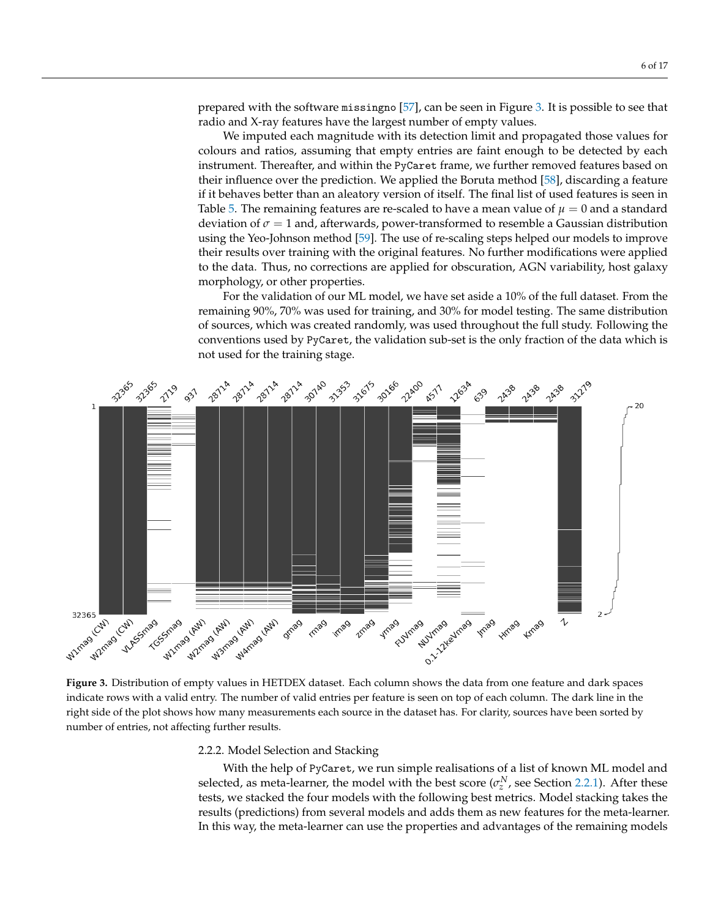prepared with the software missingno [\[57\]](#page-15-17), can be seen in Figure [3.](#page-5-0) It is possible to see that radio and X-ray features have the largest number of empty values.

We imputed each magnitude with its detection limit and propagated those values for colours and ratios, assuming that empty entries are faint enough to be detected by each instrument. Thereafter, and within the PyCaret frame, we further removed features based on their influence over the prediction. We applied the Boruta method [\[58\]](#page-15-18), discarding a feature if it behaves better than an aleatory version of itself. The final list of used features is seen in Table [5.](#page-8-0) The remaining features are re-scaled to have a mean value of  $\mu = 0$  and a standard deviation of *σ* = 1 and, afterwards, power-transformed to resemble a Gaussian distribution using the Yeo-Johnson method [\[59\]](#page-15-19). The use of re-scaling steps helped our models to improve their results over training with the original features. No further modifications were applied to the data. Thus, no corrections are applied for obscuration, AGN variability, host galaxy morphology, or other properties.

For the validation of our ML model, we have set aside a 10% of the full dataset. From the remaining 90%, 70% was used for training, and 30% for model testing. The same distribution of sources, which was created randomly, was used throughout the full study. Following the conventions used by PyCaret, the validation sub-set is the only fraction of the data which is not used for the training stage.

<span id="page-5-0"></span>

**Figure 3.** Distribution of empty values in HETDEX dataset. Each column shows the data from one feature and dark spaces indicate rows with a valid entry. The number of valid entries per feature is seen on top of each column. The dark line in the right side of the plot shows how many measurements each source in the dataset has. For clarity, sources have been sorted by number of entries, not affecting further results.

<span id="page-5-1"></span>2.2.2. Model Selection and Stacking

With the help of PyCaret, we run simple realisations of a list of known ML model and selected, as meta-learner, the model with the best score  $(\sigma_z^N$ , see Section [2.2.1\)](#page-4-0). After these tests, we stacked the four models with the following best metrics. Model stacking takes the results (predictions) from several models and adds them as new features for the meta-learner. In this way, the meta-learner can use the properties and advantages of the remaining models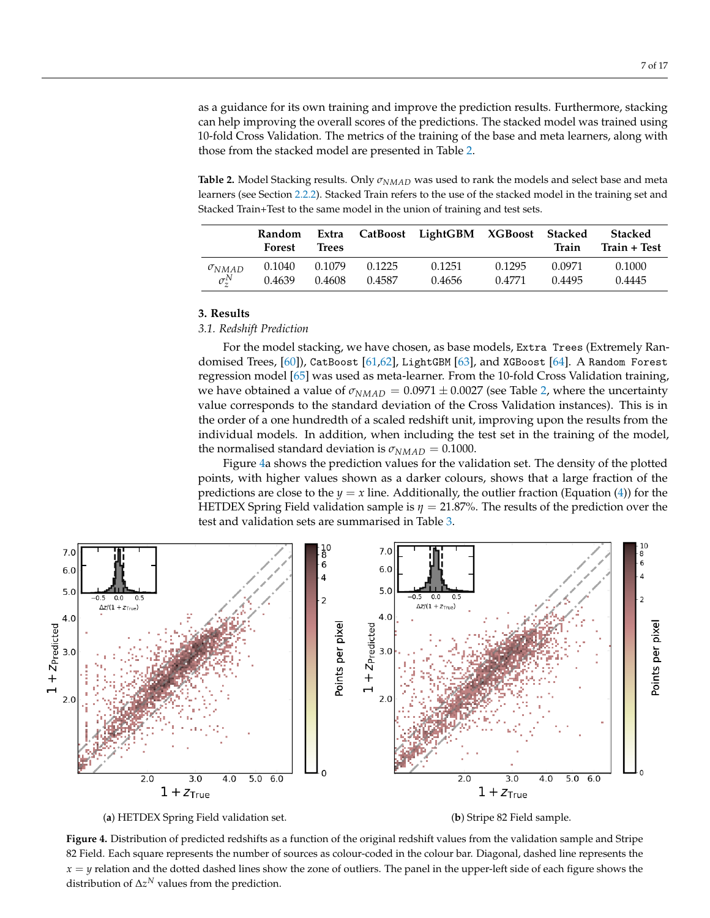as a guidance for its own training and improve the prediction results. Furthermore, stacking can help improving the overall scores of the predictions. The stacked model was trained using 10-fold Cross Validation. The metrics of the training of the base and meta learners, along with those from the stacked model are presented in Table [2.](#page-6-1)

<span id="page-6-1"></span>**Table 2.** Model Stacking results. Only *σNMAD* was used to rank the models and select base and meta learners (see Section [2.2.2\)](#page-5-1). Stacked Train refers to the use of the stacked model in the training set and Stacked Train+Test to the same model in the union of training and test sets.

|                   | <b>Random</b><br>Forest | Extra<br>Trees |        | CatBoost LightGBM XGBoost Stacked |        | Train  | Stacked<br>Train + Test |
|-------------------|-------------------------|----------------|--------|-----------------------------------|--------|--------|-------------------------|
| $\sigma_{NMAD}$   | 0.1040                  | 0.1079         | 0.1225 | 0.1251                            | 0.1295 | 0.0971 | 0.1000                  |
| $\sigma_{\tau}^N$ | 0.4639                  | 0.4608         | 0.4587 | 0.4656                            | 0.4771 | 0.4495 | 0.4445                  |

# <span id="page-6-0"></span>**3. Results**

# *3.1. Redshift Prediction*

For the model stacking, we have chosen, as base models, Extra Trees (Extremely Randomised Trees, [\[60\]](#page-15-20)), CatBoost [\[61,](#page-15-21)[62\]](#page-15-22), LightGBM [\[63\]](#page-15-23), and XGBoost [\[64\]](#page-16-0). A Random Forest regression model [\[65\]](#page-16-1) was used as meta-learner. From the 10-fold Cross Validation training, we have obtained a value of  $\sigma_{NMAD} = 0.0971 \pm 0.0027$  (see Table [2,](#page-6-1) where the uncertainty value corresponds to the standard deviation of the Cross Validation instances). This is in the order of a one hundredth of a scaled redshift unit, improving upon the results from the individual models. In addition, when including the test set in the training of the model, the normalised standard deviation is  $\sigma_{NMAD} = 0.1000$ .

Figure [4a](#page-6-2) shows the prediction values for the validation set. The density of the plotted points, with higher values shown as a darker colours, shows that a large fraction of the predictions are close to the  $y = x$  line. Additionally, the outlier fraction (Equation [\(4\)](#page-4-1)) for the HETDEX Spring Field validation sample is *η* = 21.87%. The results of the prediction over the test and validation sets are summarised in Table [3.](#page-7-1)

<span id="page-6-2"></span>

**Figure 4.** Distribution of predicted redshifts as a function of the original redshift values from the validation sample and Stripe 82 Field. Each square represents the number of sources as colour-coded in the colour bar. Diagonal, dashed line represents the  $x = y$  relation and the dotted dashed lines show the zone of outliers. The panel in the upper-left side of each figure shows the distribution of  $\Delta z^N$  values from the prediction.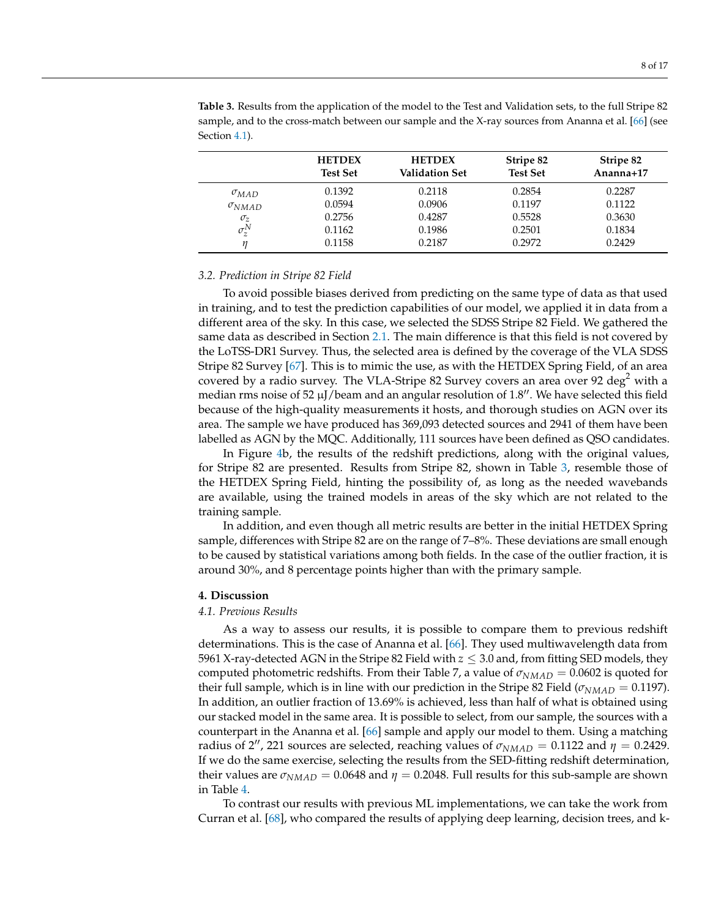<span id="page-7-1"></span>**Table 3.** Results from the application of the model to the Test and Validation sets, to the full Stripe 82 sample, and to the cross-match between our sample and the X-ray sources from Ananna et al. [\[66\]](#page-16-2) (see Section [4.1\)](#page-7-2).

|                 | <b>HETDEX</b><br><b>Test Set</b> | <b>HETDEX</b><br>Validation Set | Stripe 82<br><b>Test Set</b> | Stripe 82<br>Ananna+17 |
|-----------------|----------------------------------|---------------------------------|------------------------------|------------------------|
| $\sigma_{MAD}$  | 0.1392                           | 0.2118                          | 0.2854                       | 0.2287                 |
| $\sigma_{NMAD}$ | 0.0594                           | 0.0906                          | 0.1197                       | 0.1122                 |
| $\sigma_z$      | 0.2756                           | 0.4287                          | 0.5528                       | 0.3630                 |
| $\sigma_z^N$    | 0.1162                           | 0.1986                          | 0.2501                       | 0.1834                 |
|                 | 0.1158                           | 0.2187                          | 0.2972                       | 0.2429                 |

## *3.2. Prediction in Stripe 82 Field*

To avoid possible biases derived from predicting on the same type of data as that used in training, and to test the prediction capabilities of our model, we applied it in data from a different area of the sky. In this case, we selected the SDSS Stripe 82 Field. We gathered the same data as described in Section [2.1.](#page-2-3) The main difference is that this field is not covered by the LoTSS-DR1 Survey. Thus, the selected area is defined by the coverage of the VLA SDSS Stripe 82 Survey [\[67\]](#page-16-3). This is to mimic the use, as with the HETDEX Spring Field, of an area covered by a radio survey. The VLA-Stripe 82 Survey covers an area over 92 deg<sup>2</sup> with a median rms noise of 52  $\mu$ J/beam and an angular resolution of 1.8". We have selected this field because of the high-quality measurements it hosts, and thorough studies on AGN over its area. The sample we have produced has 369,093 detected sources and 2941 of them have been labelled as AGN by the MQC. Additionally, 111 sources have been defined as QSO candidates.

In Figure [4b](#page-6-2), the results of the redshift predictions, along with the original values, for Stripe 82 are presented. Results from Stripe 82, shown in Table [3,](#page-7-1) resemble those of the HETDEX Spring Field, hinting the possibility of, as long as the needed wavebands are available, using the trained models in areas of the sky which are not related to the training sample.

In addition, and even though all metric results are better in the initial HETDEX Spring sample, differences with Stripe 82 are on the range of 7–8%. These deviations are small enough to be caused by statistical variations among both fields. In the case of the outlier fraction, it is around 30%, and 8 percentage points higher than with the primary sample.

#### <span id="page-7-0"></span>**4. Discussion**

#### <span id="page-7-2"></span>*4.1. Previous Results*

As a way to assess our results, it is possible to compare them to previous redshift determinations. This is the case of Ananna et al. [\[66\]](#page-16-2). They used multiwavelength data from 5961 X-ray-detected AGN in the Stripe 82 Field with  $z \leq 3.0$  and, from fitting SED models, they computed photometric redshifts. From their Table 7, a value of  $\sigma_{NMAD} = 0.0602$  is quoted for their full sample, which is in line with our prediction in the Stripe 82 Field ( $\sigma_{NMAP} = 0.1197$ ). In addition, an outlier fraction of 13.69% is achieved, less than half of what is obtained using our stacked model in the same area. It is possible to select, from our sample, the sources with a counterpart in the Ananna et al. [\[66\]](#page-16-2) sample and apply our model to them. Using a matching radius of 2'', 221 sources are selected, reaching values of  $\sigma_{NMAD} = 0.1122$  and  $\eta = 0.2429$ . If we do the same exercise, selecting the results from the SED-fitting redshift determination, their values are  $\sigma_{NMAD} = 0.0648$  and  $\eta = 0.2048$ . Full results for this sub-sample are shown in Table [4.](#page-8-1)

To contrast our results with previous ML implementations, we can take the work from Curran et al. [\[68\]](#page-16-4), who compared the results of applying deep learning, decision trees, and k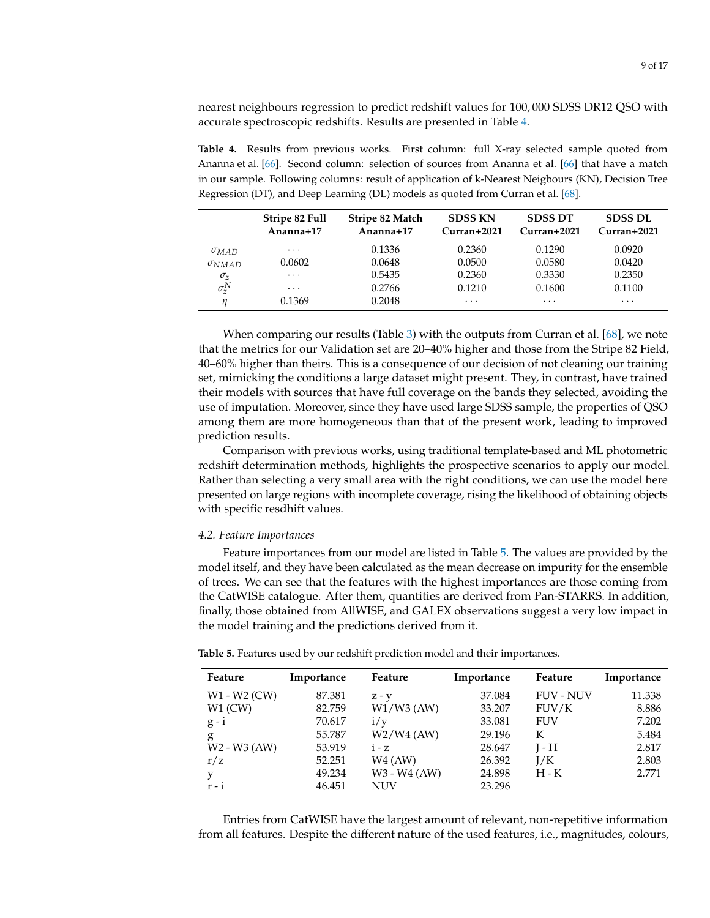nearest neighbours regression to predict redshift values for 100, 000 SDSS DR12 QSO with accurate spectroscopic redshifts. Results are presented in Table [4.](#page-8-1)

<span id="page-8-1"></span>**Table 4.** Results from previous works. First column: full X-ray selected sample quoted from Ananna et al. [\[66\]](#page-16-2). Second column: selection of sources from Ananna et al. [\[66\]](#page-16-2) that have a match in our sample. Following columns: result of application of k-Nearest Neigbours (KN), Decision Tree Regression (DT), and Deep Learning (DL) models as quoted from Curran et al. [\[68\]](#page-16-4).

|                 | Stripe 82 Full<br>Ananna+ $17$ | Stripe 82 Match<br>Ananna+ $17$ | <b>SDSS KN</b><br>$Curran+2021$ | <b>SDSS DT</b><br>$Curran+2021$ | <b>SDSS DL</b><br>$Curran+2021$ |
|-----------------|--------------------------------|---------------------------------|---------------------------------|---------------------------------|---------------------------------|
| $\sigma_{MAD}$  | $\cdots$                       | 0.1336                          | 0.2360                          | 0.1290                          | 0.0920                          |
| $\sigma_{NMAD}$ | 0.0602                         | 0.0648                          | 0.0500                          | 0.0580                          | 0.0420                          |
| $\sigma_z$      | $\cdots$                       | 0.5435                          | 0.2360                          | 0.3330                          | 0.2350                          |
| $\sigma_z^N$    | $\cdot$                        | 0.2766                          | 0.1210                          | 0.1600                          | 0.1100                          |
| п               | 0.1369                         | 0.2048                          | $\cdot$                         | $\cdot$ $\cdot$ $\cdot$         | $\cdots$                        |

When comparing our results (Table [3\)](#page-7-1) with the outputs from Curran et al. [\[68\]](#page-16-4), we note that the metrics for our Validation set are 20–40% higher and those from the Stripe 82 Field, 40–60% higher than theirs. This is a consequence of our decision of not cleaning our training set, mimicking the conditions a large dataset might present. They, in contrast, have trained their models with sources that have full coverage on the bands they selected, avoiding the use of imputation. Moreover, since they have used large SDSS sample, the properties of QSO among them are more homogeneous than that of the present work, leading to improved prediction results.

Comparison with previous works, using traditional template-based and ML photometric redshift determination methods, highlights the prospective scenarios to apply our model. Rather than selecting a very small area with the right conditions, we can use the model here presented on large regions with incomplete coverage, rising the likelihood of obtaining objects with specific resdhift values.

## *4.2. Feature Importances*

Feature importances from our model are listed in Table [5.](#page-8-0) The values are provided by the model itself, and they have been calculated as the mean decrease on impurity for the ensemble of trees. We can see that the features with the highest importances are those coming from the CatWISE catalogue. After them, quantities are derived from Pan-STARRS. In addition, finally, those obtained from AllWISE, and GALEX observations suggest a very low impact in the model training and the predictions derived from it.

| Feature                              | Importance | Feature      | Importance | Feature          | Importance |
|--------------------------------------|------------|--------------|------------|------------------|------------|
| W1 - W2 (CW)                         | 87.381     | $Z - Y$      | 37.084     | <b>FUV - NUV</b> | 11.338     |
| $W1$ (CW)                            | 82.759     | $W1/W3$ (AW) | 33.207     | FUV/K            | 8.886      |
| $g - i$                              | 70.617     | i/v          | 33.081     | FUV              | 7.202      |
| g                                    | 55.787     | $W2/W4$ (AW) | 29.196     | K                | 5.484      |
| W <sub>2</sub> - W <sub>3</sub> (AW) | 53.919     | $i - z$      | 28.647     | $I - H$          | 2.817      |
| r/z                                  | 52.251     | W4 (AW)      | 26.392     | I/K              | 2.803      |
| y                                    | 49.234     | W3 - W4 (AW) | 24.898     | H - K            | 2.771      |
| $r - i$                              | 46.451     | NUV          | 23.296     |                  |            |

<span id="page-8-0"></span>**Table 5.** Features used by our redshift prediction model and their importances.

Entries from CatWISE have the largest amount of relevant, non-repetitive information from all features. Despite the different nature of the used features, i.e., magnitudes, colours,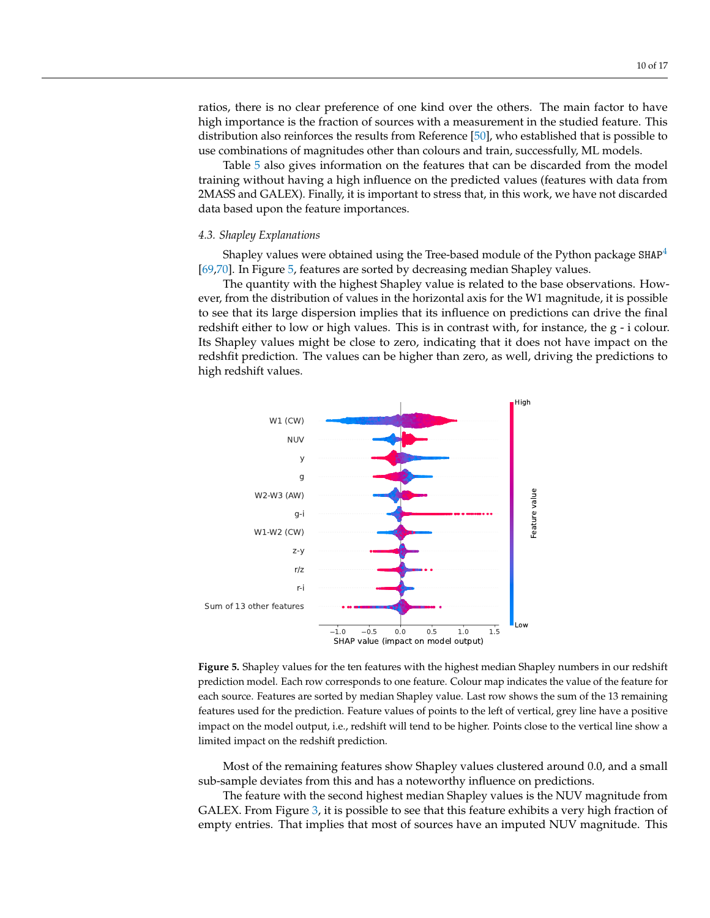ratios, there is no clear preference of one kind over the others. The main factor to have high importance is the fraction of sources with a measurement in the studied feature. This distribution also reinforces the results from Reference [\[50\]](#page-15-12), who established that is possible to use combinations of magnitudes other than colours and train, successfully, ML models.

Table [5](#page-8-0) also gives information on the features that can be discarded from the model training without having a high influence on the predicted values (features with data from 2MASS and GALEX). Finally, it is important to stress that, in this work, we have not discarded data based upon the feature importances.

## *4.3. Shapley Explanations*

<span id="page-9-1"></span>Shapley values were obtained using the Tree-based module of the Python package  $SHAP<sup>4</sup>$  $SHAP<sup>4</sup>$  $SHAP<sup>4</sup>$ [\[69](#page-16-5)[,70\]](#page-16-6). In Figure [5,](#page-9-0) features are sorted by decreasing median Shapley values.

The quantity with the highest Shapley value is related to the base observations. However, from the distribution of values in the horizontal axis for the W1 magnitude, it is possible to see that its large dispersion implies that its influence on predictions can drive the final redshift either to low or high values. This is in contrast with, for instance, the  $g - i$  colour. Its Shapley values might be close to zero, indicating that it does not have impact on the redshfit prediction. The values can be higher than zero, as well, driving the predictions to high redshift values.

<span id="page-9-0"></span>

**Figure 5.** Shapley values for the ten features with the highest median Shapley numbers in our redshift prediction model. Each row corresponds to one feature. Colour map indicates the value of the feature for each source. Features are sorted by median Shapley value. Last row shows the sum of the 13 remaining features used for the prediction. Feature values of points to the left of vertical, grey line have a positive impact on the model output, i.e., redshift will tend to be higher. Points close to the vertical line show a limited impact on the redshift prediction.

Most of the remaining features show Shapley values clustered around 0.0, and a small sub-sample deviates from this and has a noteworthy influence on predictions.

The feature with the second highest median Shapley values is the NUV magnitude from GALEX. From Figure [3,](#page-5-0) it is possible to see that this feature exhibits a very high fraction of empty entries. That implies that most of sources have an imputed NUV magnitude. This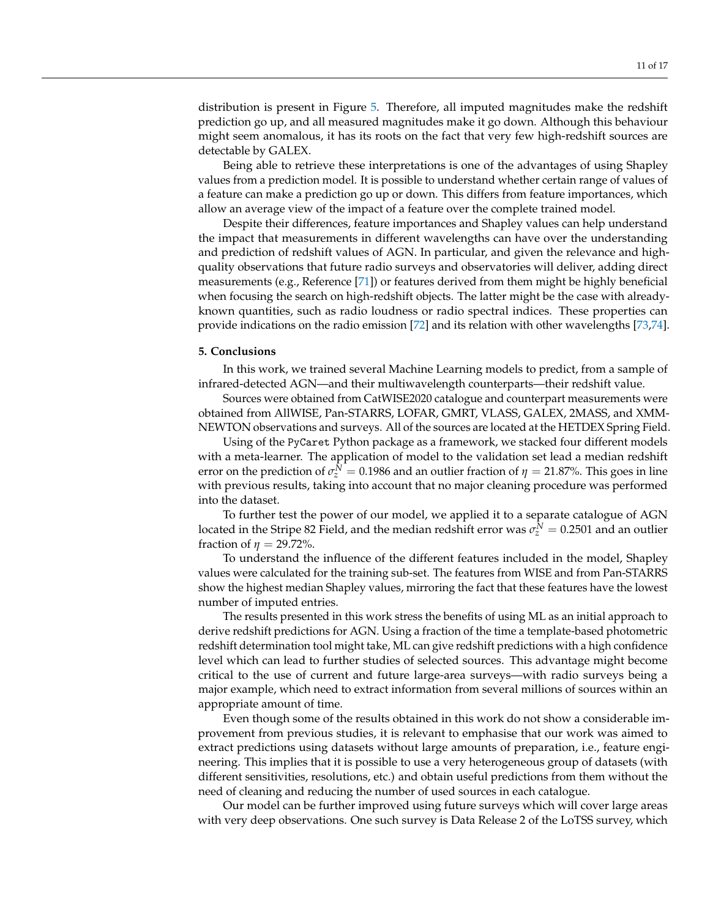distribution is present in Figure [5.](#page-9-0) Therefore, all imputed magnitudes make the redshift prediction go up, and all measured magnitudes make it go down. Although this behaviour might seem anomalous, it has its roots on the fact that very few high-redshift sources are detectable by GALEX.

Being able to retrieve these interpretations is one of the advantages of using Shapley values from a prediction model. It is possible to understand whether certain range of values of a feature can make a prediction go up or down. This differs from feature importances, which allow an average view of the impact of a feature over the complete trained model.

Despite their differences, feature importances and Shapley values can help understand the impact that measurements in different wavelengths can have over the understanding and prediction of redshift values of AGN. In particular, and given the relevance and highquality observations that future radio surveys and observatories will deliver, adding direct measurements (e.g., Reference [\[71\]](#page-16-7)) or features derived from them might be highly beneficial when focusing the search on high-redshift objects. The latter might be the case with alreadyknown quantities, such as radio loudness or radio spectral indices. These properties can provide indications on the radio emission [\[72\]](#page-16-8) and its relation with other wavelengths [\[73](#page-16-9)[,74\]](#page-16-10).

## <span id="page-10-0"></span>**5. Conclusions**

In this work, we trained several Machine Learning models to predict, from a sample of infrared-detected AGN—and their multiwavelength counterparts—their redshift value.

Sources were obtained from CatWISE2020 catalogue and counterpart measurements were obtained from AllWISE, Pan-STARRS, LOFAR, GMRT, VLASS, GALEX, 2MASS, and XMM-NEWTON observations and surveys. All of the sources are located at the HETDEX Spring Field.

Using of the PyCaret Python package as a framework, we stacked four different models with a meta-learner. The application of model to the validation set lead a median redshift error on the prediction of  $\sigma_z^N = 0.1986$  and an outlier fraction of  $\eta = 21.87$ %. This goes in line with previous results, taking into account that no major cleaning procedure was performed into the dataset.

To further test the power of our model, we applied it to a separate catalogue of AGN located in the Stripe 82 Field, and the median redshift error was  $\sigma^N_z = 0.2501$  and an outlier fraction of  $\eta = 29.72\%$ .

To understand the influence of the different features included in the model, Shapley values were calculated for the training sub-set. The features from WISE and from Pan-STARRS show the highest median Shapley values, mirroring the fact that these features have the lowest number of imputed entries.

The results presented in this work stress the benefits of using ML as an initial approach to derive redshift predictions for AGN. Using a fraction of the time a template-based photometric redshift determination tool might take, ML can give redshift predictions with a high confidence level which can lead to further studies of selected sources. This advantage might become critical to the use of current and future large-area surveys—with radio surveys being a major example, which need to extract information from several millions of sources within an appropriate amount of time.

Even though some of the results obtained in this work do not show a considerable improvement from previous studies, it is relevant to emphasise that our work was aimed to extract predictions using datasets without large amounts of preparation, i.e., feature engineering. This implies that it is possible to use a very heterogeneous group of datasets (with different sensitivities, resolutions, etc.) and obtain useful predictions from them without the need of cleaning and reducing the number of used sources in each catalogue.

Our model can be further improved using future surveys which will cover large areas with very deep observations. One such survey is Data Release 2 of the LoTSS survey, which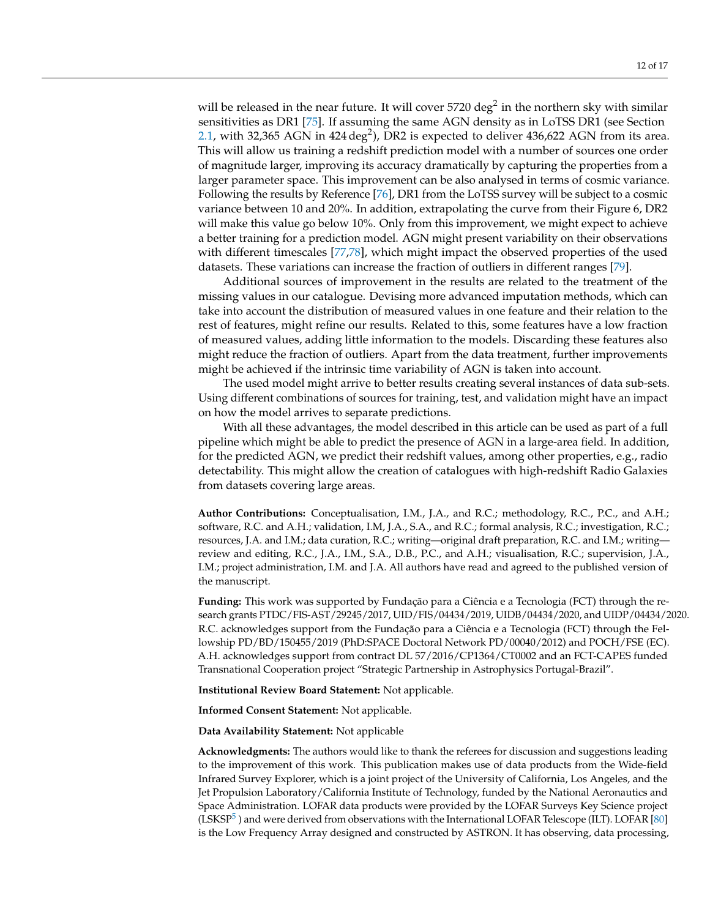will be released in the near future. It will cover 5720 deg $^2$  in the northern sky with similar sensitivities as DR1 [\[75\]](#page-16-11). If assuming the same AGN density as in LoTSS DR1 (see Section [2.1,](#page-2-3) with 32,365 AGN in 424 deg<sup>2</sup>), DR2 is expected to deliver 436,622 AGN from its area. This will allow us training a redshift prediction model with a number of sources one order of magnitude larger, improving its accuracy dramatically by capturing the properties from a larger parameter space. This improvement can be also analysed in terms of cosmic variance. Following the results by Reference [\[76\]](#page-16-12), DR1 from the LoTSS survey will be subject to a cosmic variance between 10 and 20%. In addition, extrapolating the curve from their Figure 6, DR2 will make this value go below 10%. Only from this improvement, we might expect to achieve a better training for a prediction model. AGN might present variability on their observations with different timescales [\[77,](#page-16-13)[78\]](#page-16-14), which might impact the observed properties of the used datasets. These variations can increase the fraction of outliers in different ranges [\[79\]](#page-16-15).

Additional sources of improvement in the results are related to the treatment of the missing values in our catalogue. Devising more advanced imputation methods, which can take into account the distribution of measured values in one feature and their relation to the rest of features, might refine our results. Related to this, some features have a low fraction of measured values, adding little information to the models. Discarding these features also might reduce the fraction of outliers. Apart from the data treatment, further improvements might be achieved if the intrinsic time variability of AGN is taken into account.

The used model might arrive to better results creating several instances of data sub-sets. Using different combinations of sources for training, test, and validation might have an impact on how the model arrives to separate predictions.

With all these advantages, the model described in this article can be used as part of a full pipeline which might be able to predict the presence of AGN in a large-area field. In addition, for the predicted AGN, we predict their redshift values, among other properties, e.g., radio detectability. This might allow the creation of catalogues with high-redshift Radio Galaxies from datasets covering large areas.

**Author Contributions:** Conceptualisation, I.M., J.A., and R.C.; methodology, R.C., P.C., and A.H.; software, R.C. and A.H.; validation, I.M, J.A., S.A., and R.C.; formal analysis, R.C.; investigation, R.C.; resources, J.A. and I.M.; data curation, R.C.; writing—original draft preparation, R.C. and I.M.; writing review and editing, R.C., J.A., I.M., S.A., D.B., P.C., and A.H.; visualisation, R.C.; supervision, J.A., I.M.; project administration, I.M. and J.A. All authors have read and agreed to the published version of the manuscript.

**Funding:** This work was supported by Fundação para a Ciência e a Tecnologia (FCT) through the research grants PTDC/FIS-AST/29245/2017, UID/FIS/04434/2019, UIDB/04434/2020, and UIDP/04434/2020. R.C. acknowledges support from the Fundação para a Ciência e a Tecnologia (FCT) through the Fellowship PD/BD/150455/2019 (PhD:SPACE Doctoral Network PD/00040/2012) and POCH/FSE (EC). A.H. acknowledges support from contract DL 57/2016/CP1364/CT0002 and an FCT-CAPES funded Transnational Cooperation project "Strategic Partnership in Astrophysics Portugal-Brazil".

**Institutional Review Board Statement:** Not applicable.

**Informed Consent Statement:** Not applicable.

**Data Availability Statement:** Not applicable

<span id="page-11-0"></span>**Acknowledgments:** The authors would like to thank the referees for discussion and suggestions leading to the improvement of this work. This publication makes use of data products from the Wide-field Infrared Survey Explorer, which is a joint project of the University of California, Los Angeles, and the Jet Propulsion Laboratory/California Institute of Technology, funded by the National Aeronautics and Space Administration. LOFAR data products were provided by the LOFAR Surveys Key Science project (LSKSP $^5$  $^5$ ) and were derived from observations with the International LOFAR Telescope (ILT). LOFAR [\[80\]](#page-16-16) is the Low Frequency Array designed and constructed by ASTRON. It has observing, data processing,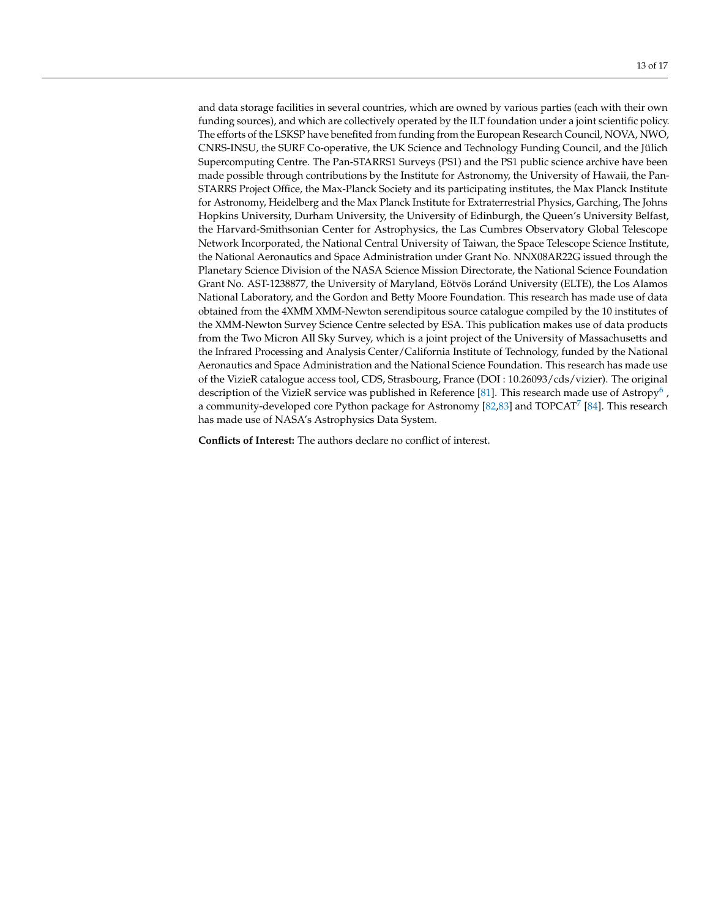and data storage facilities in several countries, which are owned by various parties (each with their own funding sources), and which are collectively operated by the ILT foundation under a joint scientific policy. The efforts of the LSKSP have benefited from funding from the European Research Council, NOVA, NWO, CNRS-INSU, the SURF Co-operative, the UK Science and Technology Funding Council, and the Jülich Supercomputing Centre. The Pan-STARRS1 Surveys (PS1) and the PS1 public science archive have been made possible through contributions by the Institute for Astronomy, the University of Hawaii, the Pan-STARRS Project Office, the Max-Planck Society and its participating institutes, the Max Planck Institute for Astronomy, Heidelberg and the Max Planck Institute for Extraterrestrial Physics, Garching, The Johns Hopkins University, Durham University, the University of Edinburgh, the Queen's University Belfast, the Harvard-Smithsonian Center for Astrophysics, the Las Cumbres Observatory Global Telescope Network Incorporated, the National Central University of Taiwan, the Space Telescope Science Institute, the National Aeronautics and Space Administration under Grant No. NNX08AR22G issued through the Planetary Science Division of the NASA Science Mission Directorate, the National Science Foundation Grant No. AST-1238877, the University of Maryland, Eötvös Loránd University (ELTE), the Los Alamos National Laboratory, and the Gordon and Betty Moore Foundation. This research has made use of data obtained from the 4XMM XMM-Newton serendipitous source catalogue compiled by the 10 institutes of the XMM-Newton Survey Science Centre selected by ESA. This publication makes use of data products from the Two Micron All Sky Survey, which is a joint project of the University of Massachusetts and the Infrared Processing and Analysis Center/California Institute of Technology, funded by the National Aeronautics and Space Administration and the National Science Foundation. This research has made use of the VizieR catalogue access tool, CDS, Strasbourg, France (DOI : 10.26093/cds/vizier). The original description of the VizieR service was published in Reference [\[81\]](#page-16-17). This research made use of Astropy<sup>[6](#page-13-16)</sup> , a community-developed core Python package for Astronomy [\[82](#page-16-18)[,83\]](#page-16-19) and TOPCAT $^7$  $^7$  [\[84\]](#page-16-20). This research has made use of NASA's Astrophysics Data System.

<span id="page-12-1"></span><span id="page-12-0"></span>**Conflicts of Interest:** The authors declare no conflict of interest.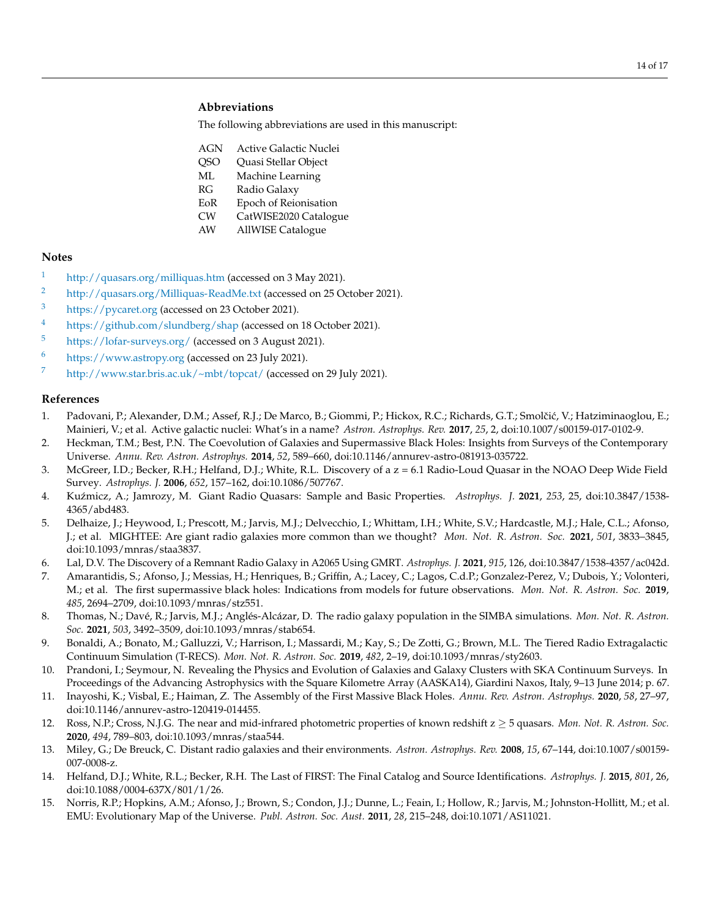# **Abbreviations**

The following abbreviations are used in this manuscript:

- AGN Active Galactic Nuclei
- QSO Quasi Stellar Object
- ML Machine Learning
- RG Radio Galaxy
- EoR Epoch of Reionisation
- CW CatWISE2020 Catalogue
- AW AllWISE Catalogue

## **Notes**

- <span id="page-13-11"></span>[1](#page-2-4) <http://quasars.org/milliquas.htm> (accessed on 3 May 2021).
- <span id="page-13-12"></span><sup>[2](#page-3-1)</sup> <http://quasars.org/Milliquas-ReadMe.txt> (accessed on 25 October 2021).
- <span id="page-13-13"></span>[3](#page-4-2) <https://pycaret.org> (accessed on 23 October 2021).
- <span id="page-13-14"></span>[4](#page-9-1) <https://github.com/slundberg/shap> (accessed on 18 October 2021).
- <span id="page-13-15"></span>[5](#page-11-0) <https://lofar-surveys.org/> (accessed on 3 August 2021).
- <span id="page-13-16"></span>[6](#page-12-0) <https://www.astropy.org> (accessed on 23 July 2021).
- <span id="page-13-17"></span>[7](#page-12-1) <http://www.star.bris.ac.uk/~mbt/topcat/> (accessed on 29 July 2021).

# **References**

- <span id="page-13-0"></span>1. Padovani, P.; Alexander, D.M.; Assef, R.J.; De Marco, B.; Giommi, P.; Hickox, R.C.; Richards, G.T.; Smolčić, V.; Hatziminaoglou, E.; Mainieri, V.; et al. Active galactic nuclei: What's in a name? *Astron. Astrophys. Rev.* **2017**, *25*, 2, doi:10.1007/s00159-017-0102-9.
- <span id="page-13-1"></span>2. Heckman, T.M.; Best, P.N. The Coevolution of Galaxies and Supermassive Black Holes: Insights from Surveys of the Contemporary Universe. *Annu. Rev. Astron. Astrophys.* **2014**, *52*, 589–660, doi:10.1146/annurev-astro-081913-035722.
- <span id="page-13-2"></span>3. McGreer, I.D.; Becker, R.H.; Helfand, D.J.; White, R.L. Discovery of a z = 6.1 Radio-Loud Quasar in the NOAO Deep Wide Field Survey. *Astrophys. J.* **2006**, *652*, 157–162, doi:10.1086/507767.
- 4. Ku´zmicz, A.; Jamrozy, M. Giant Radio Quasars: Sample and Basic Properties. *Astrophys. J.* **2021**, *253*, 25, doi:10.3847/1538- 4365/abd483.
- 5. Delhaize, J.; Heywood, I.; Prescott, M.; Jarvis, M.J.; Delvecchio, I.; Whittam, I.H.; White, S.V.; Hardcastle, M.J.; Hale, C.L.; Afonso, J.; et al. MIGHTEE: Are giant radio galaxies more common than we thought? *Mon. Not. R. Astron. Soc.* **2021**, *501*, 3833–3845, doi:10.1093/mnras/staa3837.
- <span id="page-13-3"></span>6. Lal, D.V. The Discovery of a Remnant Radio Galaxy in A2065 Using GMRT. *Astrophys. J.* **2021**, *915*, 126, doi:10.3847/1538-4357/ac042d.
- <span id="page-13-4"></span>7. Amarantidis, S.; Afonso, J.; Messias, H.; Henriques, B.; Griffin, A.; Lacey, C.; Lagos, C.d.P.; Gonzalez-Perez, V.; Dubois, Y.; Volonteri, M.; et al. The first supermassive black holes: Indications from models for future observations. *Mon. Not. R. Astron. Soc.* **2019**, *485*, 2694–2709, doi:10.1093/mnras/stz551.
- 8. Thomas, N.; Davé, R.; Jarvis, M.J.; Anglés-Alcázar, D. The radio galaxy population in the SIMBA simulations. *Mon. Not. R. Astron. Soc.* **2021**, *503*, 3492–3509, doi:10.1093/mnras/stab654.
- <span id="page-13-5"></span>9. Bonaldi, A.; Bonato, M.; Galluzzi, V.; Harrison, I.; Massardi, M.; Kay, S.; De Zotti, G.; Brown, M.L. The Tiered Radio Extragalactic Continuum Simulation (T-RECS). *Mon. Not. R. Astron. Soc.* **2019**, *482*, 2–19, doi:10.1093/mnras/sty2603.
- <span id="page-13-6"></span>10. Prandoni, I.; Seymour, N. Revealing the Physics and Evolution of Galaxies and Galaxy Clusters with SKA Continuum Surveys. In Proceedings of the Advancing Astrophysics with the Square Kilometre Array (AASKA14), Giardini Naxos, Italy, 9–13 June 2014; p. 67.
- <span id="page-13-7"></span>11. Inayoshi, K.; Visbal, E.; Haiman, Z. The Assembly of the First Massive Black Holes. *Annu. Rev. Astron. Astrophys.* **2020**, *58*, 27–97, doi:10.1146/annurev-astro-120419-014455.
- <span id="page-13-8"></span>12. Ross, N.P.; Cross, N.J.G. The near and mid-infrared photometric properties of known redshift z ≥ 5 quasars. *Mon. Not. R. Astron. Soc.* **2020**, *494*, 789–803, doi:10.1093/mnras/staa544.
- <span id="page-13-9"></span>13. Miley, G.; De Breuck, C. Distant radio galaxies and their environments. *Astron. Astrophys. Rev.* **2008**, *15*, 67–144, doi:10.1007/s00159- 007-0008-z.
- <span id="page-13-10"></span>14. Helfand, D.J.; White, R.L.; Becker, R.H. The Last of FIRST: The Final Catalog and Source Identifications. *Astrophys. J.* **2015**, *801*, 26, doi:10.1088/0004-637X/801/1/26.
- 15. Norris, R.P.; Hopkins, A.M.; Afonso, J.; Brown, S.; Condon, J.J.; Dunne, L.; Feain, I.; Hollow, R.; Jarvis, M.; Johnston-Hollitt, M.; et al. EMU: Evolutionary Map of the Universe. *Publ. Astron. Soc. Aust.* **2011**, *28*, 215–248, doi:10.1071/AS11021.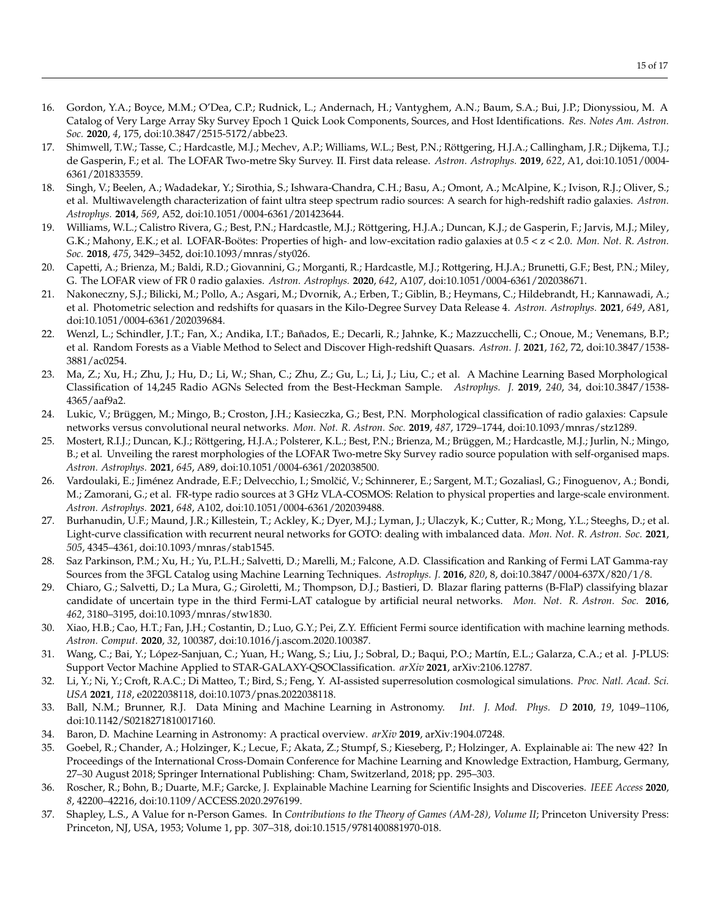- <span id="page-14-15"></span>16. Gordon, Y.A.; Boyce, M.M.; O'Dea, C.P.; Rudnick, L.; Andernach, H.; Vantyghem, A.N.; Baum, S.A.; Bui, J.P.; Dionyssiou, M. A Catalog of Very Large Array Sky Survey Epoch 1 Quick Look Components, Sources, and Host Identifications. *Res. Notes Am. Astron. Soc.* **2020**, *4*, 175, doi:10.3847/2515-5172/abbe23.
- <span id="page-14-0"></span>17. Shimwell, T.W.; Tasse, C.; Hardcastle, M.J.; Mechev, A.P.; Williams, W.L.; Best, P.N.; Röttgering, H.J.A.; Callingham, J.R.; Dijkema, T.J.; de Gasperin, F.; et al. The LOFAR Two-metre Sky Survey. II. First data release. *Astron. Astrophys.* **2019**, *622*, A1, doi:10.1051/0004- 6361/201833559.
- <span id="page-14-1"></span>18. Singh, V.; Beelen, A.; Wadadekar, Y.; Sirothia, S.; Ishwara-Chandra, C.H.; Basu, A.; Omont, A.; McAlpine, K.; Ivison, R.J.; Oliver, S.; et al. Multiwavelength characterization of faint ultra steep spectrum radio sources: A search for high-redshift radio galaxies. *Astron. Astrophys.* **2014**, *569*, A52, doi:10.1051/0004-6361/201423644.
- 19. Williams, W.L.; Calistro Rivera, G.; Best, P.N.; Hardcastle, M.J.; Röttgering, H.J.A.; Duncan, K.J.; de Gasperin, F.; Jarvis, M.J.; Miley, G.K.; Mahony, E.K.; et al. LOFAR-Boötes: Properties of high- and low-excitation radio galaxies at 0.5 < z < 2.0. *Mon. Not. R. Astron. Soc.* **2018**, *475*, 3429–3452, doi:10.1093/mnras/sty026.
- <span id="page-14-2"></span>20. Capetti, A.; Brienza, M.; Baldi, R.D.; Giovannini, G.; Morganti, R.; Hardcastle, M.J.; Rottgering, H.J.A.; Brunetti, G.F.; Best, P.N.; Miley, G. The LOFAR view of FR 0 radio galaxies. *Astron. Astrophys.* **2020**, *642*, A107, doi:10.1051/0004-6361/202038671.
- <span id="page-14-3"></span>21. Nakoneczny, S.J.; Bilicki, M.; Pollo, A.; Asgari, M.; Dvornik, A.; Erben, T.; Giblin, B.; Heymans, C.; Hildebrandt, H.; Kannawadi, A.; et al. Photometric selection and redshifts for quasars in the Kilo-Degree Survey Data Release 4. *Astron. Astrophys.* **2021**, *649*, A81, doi:10.1051/0004-6361/202039684.
- <span id="page-14-4"></span>22. Wenzl, L.; Schindler, J.T.; Fan, X.; Andika, I.T.; Bañados, E.; Decarli, R.; Jahnke, K.; Mazzucchelli, C.; Onoue, M.; Venemans, B.P.; et al. Random Forests as a Viable Method to Select and Discover High-redshift Quasars. *Astron. J.* **2021**, *162*, 72, doi:10.3847/1538- 3881/ac0254.
- <span id="page-14-5"></span>23. Ma, Z.; Xu, H.; Zhu, J.; Hu, D.; Li, W.; Shan, C.; Zhu, Z.; Gu, L.; Li, J.; Liu, C.; et al. A Machine Learning Based Morphological Classification of 14,245 Radio AGNs Selected from the Best-Heckman Sample. *Astrophys. J.* **2019**, *240*, 34, doi:10.3847/1538- 4365/aaf9a2.
- 24. Lukic, V.; Brüggen, M.; Mingo, B.; Croston, J.H.; Kasieczka, G.; Best, P.N. Morphological classification of radio galaxies: Capsule networks versus convolutional neural networks. *Mon. Not. R. Astron. Soc.* **2019**, *487*, 1729–1744, doi:10.1093/mnras/stz1289.
- 25. Mostert, R.I.J.; Duncan, K.J.; Röttgering, H.J.A.; Polsterer, K.L.; Best, P.N.; Brienza, M.; Brüggen, M.; Hardcastle, M.J.; Jurlin, N.; Mingo, B.; et al. Unveiling the rarest morphologies of the LOFAR Two-metre Sky Survey radio source population with self-organised maps. *Astron. Astrophys.* **2021**, *645*, A89, doi:10.1051/0004-6361/202038500.
- 26. Vardoulaki, E.; Jiménez Andrade, E.F.; Delvecchio, I.; Smolčić, V.; Schinnerer, E.; Sargent, M.T.; Gozaliasl, G.; Finoguenov, A.; Bondi, M.; Zamorani, G.; et al. FR-type radio sources at 3 GHz VLA-COSMOS: Relation to physical properties and large-scale environment. *Astron. Astrophys.* **2021**, *648*, A102, doi:10.1051/0004-6361/202039488.
- <span id="page-14-6"></span>27. Burhanudin, U.F.; Maund, J.R.; Killestein, T.; Ackley, K.; Dyer, M.J.; Lyman, J.; Ulaczyk, K.; Cutter, R.; Mong, Y.L.; Steeghs, D.; et al. Light-curve classification with recurrent neural networks for GOTO: dealing with imbalanced data. *Mon. Not. R. Astron. Soc.* **2021**, *505*, 4345–4361, doi:10.1093/mnras/stab1545.
- <span id="page-14-7"></span>28. Saz Parkinson, P.M.; Xu, H.; Yu, P.L.H.; Salvetti, D.; Marelli, M.; Falcone, A.D. Classification and Ranking of Fermi LAT Gamma-ray Sources from the 3FGL Catalog using Machine Learning Techniques. *Astrophys. J.* **2016**, *820*, 8, doi:10.3847/0004-637X/820/1/8.
- 29. Chiaro, G.; Salvetti, D.; La Mura, G.; Giroletti, M.; Thompson, D.J.; Bastieri, D. Blazar flaring patterns (B-FlaP) classifying blazar candidate of uncertain type in the third Fermi-LAT catalogue by artificial neural networks. *Mon. Not. R. Astron. Soc.* **2016**, *462*, 3180–3195, doi:10.1093/mnras/stw1830.
- 30. Xiao, H.B.; Cao, H.T.; Fan, J.H.; Costantin, D.; Luo, G.Y.; Pei, Z.Y. Efficient Fermi source identification with machine learning methods. *Astron. Comput.* **2020**, *32*, 100387, doi:10.1016/j.ascom.2020.100387.
- <span id="page-14-8"></span>31. Wang, C.; Bai, Y.; López-Sanjuan, C.; Yuan, H.; Wang, S.; Liu, J.; Sobral, D.; Baqui, P.O.; Martín, E.L.; Galarza, C.A.; et al. J-PLUS: Support Vector Machine Applied to STAR-GALAXY-QSOClassification. *arXiv* **2021**, arXiv:2106.12787.
- <span id="page-14-9"></span>32. Li, Y.; Ni, Y.; Croft, R.A.C.; Di Matteo, T.; Bird, S.; Feng, Y. AI-assisted superresolution cosmological simulations. *Proc. Natl. Acad. Sci. USA* **2021**, *118*, e2022038118, doi:10.1073/pnas.2022038118.
- <span id="page-14-10"></span>33. Ball, N.M.; Brunner, R.J. Data Mining and Machine Learning in Astronomy. *Int. J. Mod. Phys. D* **2010**, *19*, 1049–1106, doi:10.1142/S0218271810017160.
- <span id="page-14-11"></span>34. Baron, D. Machine Learning in Astronomy: A practical overview. *arXiv* **2019**, arXiv:1904.07248.
- <span id="page-14-12"></span>35. Goebel, R.; Chander, A.; Holzinger, K.; Lecue, F.; Akata, Z.; Stumpf, S.; Kieseberg, P.; Holzinger, A. Explainable ai: The new 42? In Proceedings of the International Cross-Domain Conference for Machine Learning and Knowledge Extraction, Hamburg, Germany, 27–30 August 2018; Springer International Publishing: Cham, Switzerland, 2018; pp. 295–303.
- <span id="page-14-13"></span>36. Roscher, R.; Bohn, B.; Duarte, M.F.; Garcke, J. Explainable Machine Learning for Scientific Insights and Discoveries. *IEEE Access* **2020**, *8*, 42200–42216, doi:10.1109/ACCESS.2020.2976199.
- <span id="page-14-14"></span>37. Shapley, L.S., A Value for n-Person Games. In *Contributions to the Theory of Games (AM-28), Volume II*; Princeton University Press: Princeton, NJ, USA, 1953; Volume 1, pp. 307–318, doi:10.1515/9781400881970-018.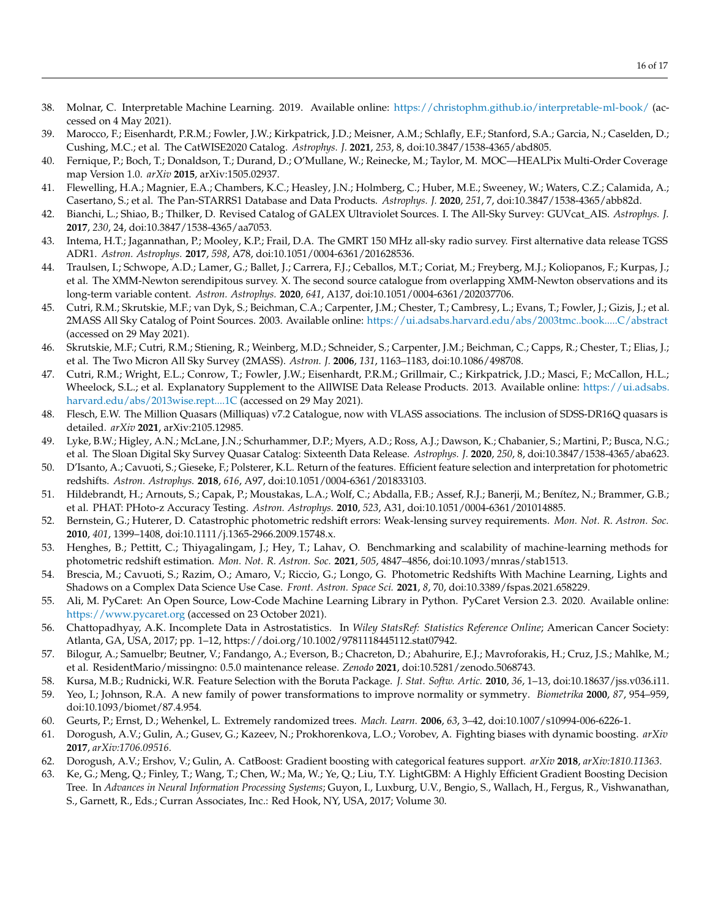- <span id="page-15-0"></span>38. Molnar, C. Interpretable Machine Learning. 2019. Available online: <https://christophm.github.io/interpretable-ml-book/> (accessed on 4 May 2021).
- <span id="page-15-1"></span>39. Marocco, F.; Eisenhardt, P.R.M.; Fowler, J.W.; Kirkpatrick, J.D.; Meisner, A.M.; Schlafly, E.F.; Stanford, S.A.; Garcia, N.; Caselden, D.; Cushing, M.C.; et al. The CatWISE2020 Catalog. *Astrophys. J.* **2021**, *253*, 8, doi:10.3847/1538-4365/abd805.
- <span id="page-15-2"></span>40. Fernique, P.; Boch, T.; Donaldson, T.; Durand, D.; O'Mullane, W.; Reinecke, M.; Taylor, M. MOC—HEALPix Multi-Order Coverage map Version 1.0. *arXiv* **2015**, arXiv:1505.02937.
- <span id="page-15-3"></span>41. Flewelling, H.A.; Magnier, E.A.; Chambers, K.C.; Heasley, J.N.; Holmberg, C.; Huber, M.E.; Sweeney, W.; Waters, C.Z.; Calamida, A.; Casertano, S.; et al. The Pan-STARRS1 Database and Data Products. *Astrophys. J.* **2020**, *251*, 7, doi:10.3847/1538-4365/abb82d.
- <span id="page-15-4"></span>42. Bianchi, L.; Shiao, B.; Thilker, D. Revised Catalog of GALEX Ultraviolet Sources. I. The All-Sky Survey: GUVcat\_AIS. *Astrophys. J.* **2017**, *230*, 24, doi:10.3847/1538-4365/aa7053.
- <span id="page-15-5"></span>43. Intema, H.T.; Jagannathan, P.; Mooley, K.P.; Frail, D.A. The GMRT 150 MHz all-sky radio survey. First alternative data release TGSS ADR1. *Astron. Astrophys.* **2017**, *598*, A78, doi:10.1051/0004-6361/201628536.
- <span id="page-15-6"></span>44. Traulsen, I.; Schwope, A.D.; Lamer, G.; Ballet, J.; Carrera, F.J.; Ceballos, M.T.; Coriat, M.; Freyberg, M.J.; Koliopanos, F.; Kurpas, J.; et al. The XMM-Newton serendipitous survey. X. The second source catalogue from overlapping XMM-Newton observations and its long-term variable content. *Astron. Astrophys.* **2020**, *641*, A137, doi:10.1051/0004-6361/202037706.
- <span id="page-15-7"></span>45. Cutri, R.M.; Skrutskie, M.F.; van Dyk, S.; Beichman, C.A.; Carpenter, J.M.; Chester, T.; Cambresy, L.; Evans, T.; Fowler, J.; Gizis, J.; et al. 2MASS All Sky Catalog of Point Sources. 2003. Available online: <https://ui.adsabs.harvard.edu/abs/2003tmc..book.....C/abstract> (accessed on 29 May 2021).
- <span id="page-15-8"></span>46. Skrutskie, M.F.; Cutri, R.M.; Stiening, R.; Weinberg, M.D.; Schneider, S.; Carpenter, J.M.; Beichman, C.; Capps, R.; Chester, T.; Elias, J.; et al. The Two Micron All Sky Survey (2MASS). *Astron. J.* **2006**, *131*, 1163–1183, doi:10.1086/498708.
- <span id="page-15-9"></span>47. Cutri, R.M.; Wright, E.L.; Conrow, T.; Fowler, J.W.; Eisenhardt, P.R.M.; Grillmair, C.; Kirkpatrick, J.D.; Masci, F.; McCallon, H.L.; Wheelock, S.L.; et al. Explanatory Supplement to the AllWISE Data Release Products. 2013. Available online: [https://ui.adsabs.](https://ui.adsabs.harvard.edu/abs/2013wise.rept....1C) [harvard.edu/abs/2013wise.rept....1C](https://ui.adsabs.harvard.edu/abs/2013wise.rept....1C) (accessed on 29 May 2021).
- <span id="page-15-10"></span>48. Flesch, E.W. The Million Quasars (Milliquas) v7.2 Catalogue, now with VLASS associations. The inclusion of SDSS-DR16Q quasars is detailed. *arXiv* **2021**, arXiv:2105.12985.
- <span id="page-15-11"></span>49. Lyke, B.W.; Higley, A.N.; McLane, J.N.; Schurhammer, D.P.; Myers, A.D.; Ross, A.J.; Dawson, K.; Chabanier, S.; Martini, P.; Busca, N.G.; et al. The Sloan Digital Sky Survey Quasar Catalog: Sixteenth Data Release. *Astrophys. J.* **2020**, *250*, 8, doi:10.3847/1538-4365/aba623.
- <span id="page-15-12"></span>50. D'Isanto, A.; Cavuoti, S.; Gieseke, F.; Polsterer, K.L. Return of the features. Efficient feature selection and interpretation for photometric redshifts. *Astron. Astrophys.* **2018**, *616*, A97, doi:10.1051/0004-6361/201833103.
- <span id="page-15-13"></span>51. Hildebrandt, H.; Arnouts, S.; Capak, P.; Moustakas, L.A.; Wolf, C.; Abdalla, F.B.; Assef, R.J.; Banerji, M.; Benítez, N.; Brammer, G.B.; et al. PHAT: PHoto-z Accuracy Testing. *Astron. Astrophys.* **2010**, *523*, A31, doi:10.1051/0004-6361/201014885.
- 52. Bernstein, G.; Huterer, D. Catastrophic photometric redshift errors: Weak-lensing survey requirements. *Mon. Not. R. Astron. Soc.* **2010**, *401*, 1399–1408, doi:10.1111/j.1365-2966.2009.15748.x.
- 53. Henghes, B.; Pettitt, C.; Thiyagalingam, J.; Hey, T.; Lahav, O. Benchmarking and scalability of machine-learning methods for photometric redshift estimation. *Mon. Not. R. Astron. Soc.* **2021**, *505*, 4847–4856, doi:10.1093/mnras/stab1513.
- <span id="page-15-14"></span>54. Brescia, M.; Cavuoti, S.; Razim, O.; Amaro, V.; Riccio, G.; Longo, G. Photometric Redshifts With Machine Learning, Lights and Shadows on a Complex Data Science Use Case. *Front. Astron. Space Sci.* **2021**, *8*, 70, doi:10.3389/fspas.2021.658229.
- <span id="page-15-15"></span>55. Ali, M. PyCaret: An Open Source, Low-Code Machine Learning Library in Python. PyCaret Version 2.3. 2020. Available online: <https://www.pycaret.org> (accessed on 23 October 2021).
- <span id="page-15-16"></span>56. Chattopadhyay, A.K. Incomplete Data in Astrostatistics. In *Wiley StatsRef: Statistics Reference Online*; American Cancer Society: Atlanta, GA, USA, 2017; pp. 1–12, https://doi.org/10.1002/9781118445112.stat07942.
- <span id="page-15-17"></span>57. Bilogur, A.; Samuelbr; Beutner, V.; Fandango, A.; Everson, B.; Chacreton, D.; Abahurire, E.J.; Mavroforakis, H.; Cruz, J.S.; Mahlke, M.; et al. ResidentMario/missingno: 0.5.0 maintenance release. *Zenodo* **2021**, doi:10.5281/zenodo.5068743.
- <span id="page-15-18"></span>58. Kursa, M.B.; Rudnicki, W.R. Feature Selection with the Boruta Package. *J. Stat. Softw. Artic.* **2010**, *36*, 1–13, doi:10.18637/jss.v036.i11.
- <span id="page-15-19"></span>59. Yeo, I.; Johnson, R.A. A new family of power transformations to improve normality or symmetry. *Biometrika* **2000**, *87*, 954–959, doi:10.1093/biomet/87.4.954.
- <span id="page-15-20"></span>60. Geurts, P.; Ernst, D.; Wehenkel, L. Extremely randomized trees. *Mach. Learn.* **2006**, *63*, 3–42, doi:10.1007/s10994-006-6226-1.
- <span id="page-15-21"></span>61. Dorogush, A.V.; Gulin, A.; Gusev, G.; Kazeev, N.; Prokhorenkova, L.O.; Vorobev, A. Fighting biases with dynamic boosting. *arXiv* **2017**, *arXiv:1706.09516*.
- <span id="page-15-22"></span>62. Dorogush, A.V.; Ershov, V.; Gulin, A. CatBoost: Gradient boosting with categorical features support. *arXiv* **2018**, *arXiv:1810.11363*.
- <span id="page-15-23"></span>63. Ke, G.; Meng, Q.; Finley, T.; Wang, T.; Chen, W.; Ma, W.; Ye, Q.; Liu, T.Y. LightGBM: A Highly Efficient Gradient Boosting Decision Tree. In *Advances in Neural Information Processing Systems*; Guyon, I., Luxburg, U.V., Bengio, S., Wallach, H., Fergus, R., Vishwanathan, S., Garnett, R., Eds.; Curran Associates, Inc.: Red Hook, NY, USA, 2017; Volume 30.